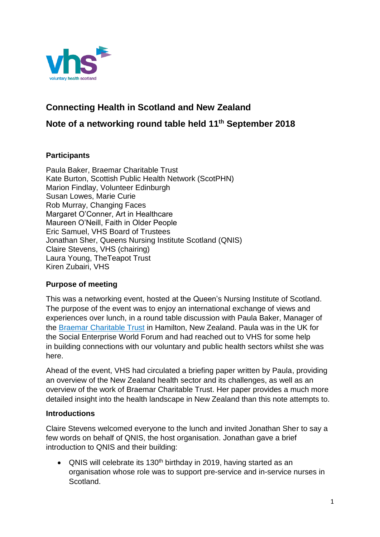

# **Connecting Health in Scotland and New Zealand**

## **Note of a networking round table held 11th September 2018**

#### **Participants**

Paula Baker, Braemar Charitable Trust Kate Burton, Scottish Public Health Network (ScotPHN) Marion Findlay, Volunteer Edinburgh Susan Lowes, Marie Curie Rob Murray, Changing Faces Margaret O'Conner, Art in Healthcare Maureen O'Neill, Faith in Older People Eric Samuel, VHS Board of Trustees Jonathan Sher, Queens Nursing Institute Scotland (QNIS) Claire Stevens, VHS (chairing) Laura Young, TheTeapot Trust Kiren Zubairi, VHS

#### **Purpose of meeting**

This was a networking event, hosted at the Queen's Nursing Institute of Scotland. The purpose of the event was to enjoy an international exchange of views and experiences over lunch, in a round table discussion with Paula Baker, Manager of the [Braemar Charitable Trust](https://braemarhospital.co.nz/) in Hamilton, New Zealand. Paula was in the UK for the Social Enterprise World Forum and had reached out to VHS for some help in building connections with our voluntary and public health sectors whilst she was here.

Ahead of the event, VHS had circulated a briefing paper written by Paula, providing an overview of the New Zealand health sector and its challenges, as well as an overview of the work of Braemar Charitable Trust. Her paper provides a much more detailed insight into the health landscape in New Zealand than this note attempts to.

#### **Introductions**

Claire Stevens welcomed everyone to the lunch and invited Jonathan Sher to say a few words on behalf of QNIS, the host organisation. Jonathan gave a brief introduction to QNIS and their building:

• QNIS will celebrate its  $130<sup>th</sup>$  birthday in 2019, having started as an organisation whose role was to support pre-service and in-service nurses in Scotland.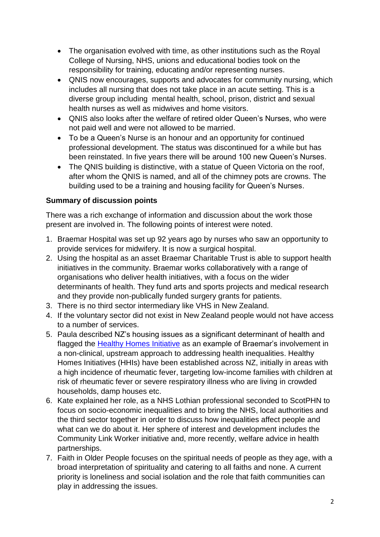- The organisation evolved with time, as other institutions such as the Royal College of Nursing, NHS, unions and educational bodies took on the responsibility for training, educating and/or representing nurses.
- QNIS now encourages, supports and advocates for community nursing, which includes all nursing that does not take place in an acute setting. This is a diverse group including mental health, school, prison, district and sexual health nurses as well as midwives and home visitors.
- ONIS also looks after the welfare of retired older Queen's Nurses, who were not paid well and were not allowed to be married.
- To be a Queen's Nurse is an honour and an opportunity for continued professional development. The status was discontinued for a while but has been reinstated. In five years there will be around 100 new Queen's Nurses.
- The QNIS building is distinctive, with a statue of Queen Victoria on the roof, after whom the QNIS is named, and all of the chimney pots are crowns. The building used to be a training and housing facility for Queen's Nurses.

### **Summary of discussion points**

There was a rich exchange of information and discussion about the work those present are involved in. The following points of interest were noted.

- 1. Braemar Hospital was set up 92 years ago by nurses who saw an opportunity to provide services for midwifery. It is now a surgical hospital.
- 2. Using the hospital as an asset Braemar Charitable Trust is able to support health initiatives in the community. Braemar works collaboratively with a range of organisations who deliver health initiatives, with a focus on the wider determinants of health. They fund arts and sports projects and medical research and they provide non-publically funded surgery grants for patients.
- 3. There is no third sector intermediary like VHS in New Zealand.
- 4. If the voluntary sector did not exist in New Zealand people would not have access to a number of services.
- 5. Paula described NZ's housing issues as a significant determinant of health and flagged the [Healthy Homes Initiative](https://www.health.govt.nz/our-work/preventative-health-wellness/healthy-homes-initiative) as an example of Braemar's involvement in a non-clinical, upstream approach to addressing health inequalities. Healthy Homes Initiatives (HHIs) have been established across NZ, initially in areas with a high incidence of rheumatic fever, targeting low-income families with children at risk of rheumatic fever or severe respiratory illness who are living in crowded households, damp houses etc.
- 6. Kate explained her role, as a NHS Lothian professional seconded to ScotPHN to focus on socio-economic inequalities and to bring the NHS, local authorities and the third sector together in order to discuss how inequalities affect people and what can we do about it. Her sphere of interest and development includes the Community Link Worker initiative and, more recently, welfare advice in health partnerships.
- 7. Faith in Older People focuses on the spiritual needs of people as they age, with a broad interpretation of spirituality and catering to all faiths and none. A current priority is loneliness and social isolation and the role that faith communities can play in addressing the issues.